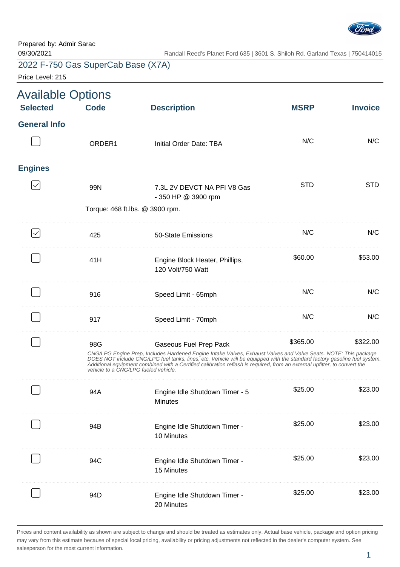

Price Level: 215

| <b>Available Options</b> |                                             |                                                                                                                                                                                                                                                                                                                                                                                                     |             |                |
|--------------------------|---------------------------------------------|-----------------------------------------------------------------------------------------------------------------------------------------------------------------------------------------------------------------------------------------------------------------------------------------------------------------------------------------------------------------------------------------------------|-------------|----------------|
| <b>Selected</b>          | <b>Code</b>                                 | <b>Description</b>                                                                                                                                                                                                                                                                                                                                                                                  | <b>MSRP</b> | <b>Invoice</b> |
| <b>General Info</b>      |                                             |                                                                                                                                                                                                                                                                                                                                                                                                     |             |                |
|                          | ORDER <sub>1</sub>                          | Initial Order Date: TBA                                                                                                                                                                                                                                                                                                                                                                             | N/C         | N/C            |
| <b>Engines</b>           |                                             |                                                                                                                                                                                                                                                                                                                                                                                                     |             |                |
|                          | 99N                                         | 7.3L 2V DEVCT NA PFI V8 Gas<br>- 350 HP @ 3900 rpm                                                                                                                                                                                                                                                                                                                                                  | <b>STD</b>  | <b>STD</b>     |
|                          | Torque: 468 ft.lbs. @ 3900 rpm.             |                                                                                                                                                                                                                                                                                                                                                                                                     |             |                |
|                          | 425                                         | 50-State Emissions                                                                                                                                                                                                                                                                                                                                                                                  | N/C         | N/C            |
|                          | 41H                                         | Engine Block Heater, Phillips,<br>120 Volt/750 Watt                                                                                                                                                                                                                                                                                                                                                 | \$60.00     | \$53.00        |
|                          | 916                                         | Speed Limit - 65mph                                                                                                                                                                                                                                                                                                                                                                                 | N/C         | N/C            |
|                          | 917                                         | Speed Limit - 70mph                                                                                                                                                                                                                                                                                                                                                                                 | N/C         | N/C            |
|                          | 98G<br>vehicle to a CNG/LPG fueled vehicle. | Gaseous Fuel Prep Pack<br>CNG/LPG Engine Prep, Includes Hardened Engine Intake Valves, Exhaust Valves and Valve Seats. NOTE: This package<br>DOES NOT include CNG/LPG fuel tanks, lines, etc. Vehicle will be equipped with the standard factory gasoline fuel system.<br>Additional equipment combined with a Certified calibration reflash is required, from an external upfitter, to convert the | \$365.00    | \$322.00       |
|                          | 94A                                         | Engine Idle Shutdown Timer - 5<br><b>Minutes</b>                                                                                                                                                                                                                                                                                                                                                    | \$25.00     | \$23.00        |
|                          | 94B                                         | Engine Idle Shutdown Timer -<br>10 Minutes                                                                                                                                                                                                                                                                                                                                                          | \$25.00     | \$23.00        |
|                          | 94C                                         | Engine Idle Shutdown Timer -<br>15 Minutes                                                                                                                                                                                                                                                                                                                                                          | \$25.00     | \$23.00        |
|                          | 94D                                         | Engine Idle Shutdown Timer -<br>20 Minutes                                                                                                                                                                                                                                                                                                                                                          | \$25.00     | \$23.00        |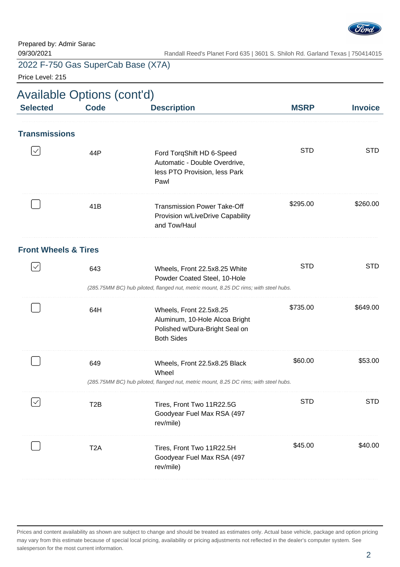

Price Level: 215

|                                 | <b>Available Options (cont'd)</b> |                                                                                                                                                       |             |                |  |
|---------------------------------|-----------------------------------|-------------------------------------------------------------------------------------------------------------------------------------------------------|-------------|----------------|--|
| <b>Selected</b>                 | <b>Code</b>                       | <b>Description</b>                                                                                                                                    | <b>MSRP</b> | <b>Invoice</b> |  |
| <b>Transmissions</b>            |                                   |                                                                                                                                                       |             |                |  |
|                                 | 44P                               | Ford TorqShift HD 6-Speed<br>Automatic - Double Overdrive,<br>less PTO Provision, less Park<br>Pawl                                                   | <b>STD</b>  | <b>STD</b>     |  |
|                                 | 41B                               | <b>Transmission Power Take-Off</b><br>Provision w/LiveDrive Capability<br>and Tow/Haul                                                                | \$295.00    | \$260.00       |  |
| <b>Front Wheels &amp; Tires</b> |                                   |                                                                                                                                                       |             |                |  |
| $\checkmark$                    | 643                               | Wheels, Front 22.5x8.25 White<br>Powder Coated Steel, 10-Hole<br>(285.75MM BC) hub piloted, flanged nut, metric mount, 8.25 DC rims; with steel hubs. | <b>STD</b>  | <b>STD</b>     |  |
|                                 | 64H                               | Wheels, Front 22.5x8.25<br>Aluminum, 10-Hole Alcoa Bright<br>Polished w/Dura-Bright Seal on<br><b>Both Sides</b>                                      | \$735.00    | \$649.00       |  |
|                                 | 649                               | Wheels, Front 22.5x8.25 Black<br>Wheel<br>(285.75MM BC) hub piloted, flanged nut, metric mount, 8.25 DC rims; with steel hubs.                        | \$60.00     | \$53.00        |  |
|                                 |                                   |                                                                                                                                                       |             |                |  |
|                                 | T <sub>2</sub> B                  | Tires, Front Two 11R22.5G<br>Goodyear Fuel Max RSA (497<br>rev/mile)                                                                                  | <b>STD</b>  | <b>STD</b>     |  |
|                                 | T <sub>2</sub> A                  | Tires, Front Two 11R22.5H<br>Goodyear Fuel Max RSA (497<br>rev/mile)                                                                                  | \$45.00     | \$40.00        |  |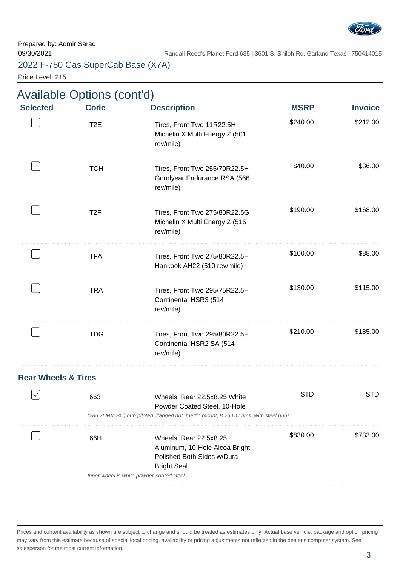

Price Level: 215

| <b>Available Options (cont'd)</b> |  |  |
|-----------------------------------|--|--|
|-----------------------------------|--|--|

| <b>Selected</b>                | <b>Code</b>      | <b>Description</b>                                                                                                                                   | <b>MSRP</b> | <b>Invoice</b> |
|--------------------------------|------------------|------------------------------------------------------------------------------------------------------------------------------------------------------|-------------|----------------|
|                                | T <sub>2</sub> E | Tires, Front Two 11R22.5H<br>Michelin X Multi Energy Z (501<br>rev/mile)                                                                             | \$240.00    | \$212.00       |
|                                | <b>TCH</b>       | Tires, Front Two 255/70R22.5H<br>Goodyear Endurance RSA (566<br>rev/mile)                                                                            | \$40.00     | \$36.00        |
|                                | T <sub>2F</sub>  | Tires, Front Two 275/80R22.5G<br>Michelin X Multi Energy Z (515<br>rev/mile)                                                                         | \$190.00    | \$168.00       |
|                                | <b>TFA</b>       | Tires, Front Two 275/80R22.5H<br>Hankook AH22 (510 rev/mile)                                                                                         | \$100.00    | \$88.00        |
|                                | <b>TRA</b>       | Tires, Front Two 295/75R22.5H<br>Continental HSR3 (514<br>rev/mile)                                                                                  | \$130.00    | \$115.00       |
|                                | <b>TDG</b>       | Tires, Front Two 295/80R22.5H<br>Continental HSR2 SA (514<br>rev/mile)                                                                               | \$210.00    | \$185.00       |
| <b>Rear Wheels &amp; Tires</b> |                  |                                                                                                                                                      |             |                |
|                                | 663              | Wheels, Rear 22.5x8.25 White<br>Powder Coated Steel, 10-Hole<br>(285.75MM BC) hub piloted, flanged nut, metric mount, 8.25 DC rims; with steel hubs. | <b>STD</b>  | <b>STD</b>     |
|                                | 66H              | Wheels, Rear 22.5x8.25<br>Aluminum, 10-Hole Alcoa Bright<br>Polished Both Sides w/Dura-<br><b>Bright Seal</b>                                        | \$830.00    | \$733.00       |

Inner wheel is white powder-coated steel.

Prices and content availability as shown are subject to change and should be treated as estimates only. Actual base vehicle, package and option pricing may vary from this estimate because of special local pricing, availability or pricing adjustments not reflected in the dealer's computer system. See salesperson for the most current information.

 $\overline{\phantom{a}}$  . The contract of the contract of the contract of the contract of the contract of the contract of the contract of the contract of the contract of the contract of the contract of the contract of the contract of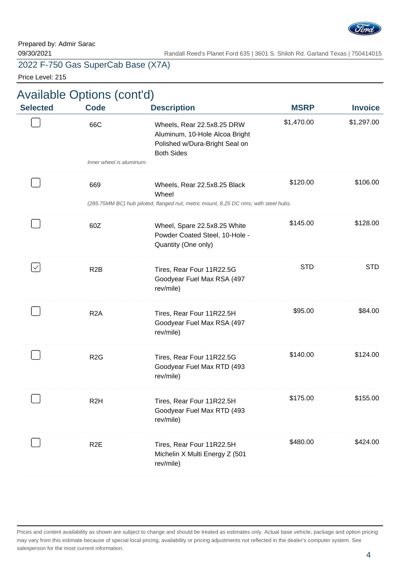

Price Level: 215

| <b>Invoice</b> | <b>MSRP</b> | <b>Description</b>                                                                                                  | <b>Code</b>              | <b>Selected</b> |
|----------------|-------------|---------------------------------------------------------------------------------------------------------------------|--------------------------|-----------------|
| \$1,297.00     | \$1,470.00  | Wheels, Rear 22.5x8.25 DRW<br>Aluminum, 10-Hole Alcoa Bright<br>Polished w/Dura-Bright Seal on<br><b>Both Sides</b> | 66C                      |                 |
|                |             |                                                                                                                     | Inner wheel is aluminum. |                 |
| \$106.00       | \$120.00    | Wheels, Rear 22.5x8.25 Black<br>Wheel                                                                               | 669                      |                 |
|                |             | (285.75MM BC) hub piloted, flanged nut, metric mount, 8.25 DC rims; with steel hubs.                                |                          |                 |
| \$128.00       | \$145.00    | Wheel, Spare 22.5x8.25 White<br>Powder Coated Steel, 10-Hole -<br>Quantity (One only)                               | 60Z                      |                 |
| <b>STD</b>     | <b>STD</b>  | Tires, Rear Four 11R22.5G<br>Goodyear Fuel Max RSA (497<br>rev/mile)                                                | R <sub>2</sub> B         | $\checkmark$    |
| \$84.00        | \$95.00     | Tires, Rear Four 11R22.5H<br>Goodyear Fuel Max RSA (497<br>rev/mile)                                                | R <sub>2</sub> A         |                 |
| \$124.00       | \$140.00    | Tires, Rear Four 11R22.5G<br>Goodyear Fuel Max RTD (493<br>rev/mile)                                                | R <sub>2</sub> G         |                 |
| \$155.00       | \$175.00    | Tires, Rear Four 11R22.5H<br>Goodyear Fuel Max RTD (493<br>rev/mile)                                                | R <sub>2</sub> H         |                 |
| \$424.00       | \$480.00    | Tires, Rear Four 11R22.5H<br>Michelin X Multi Energy Z (501<br>rev/mile)                                            | R <sub>2</sub> E         |                 |
|                |             |                                                                                                                     |                          |                 |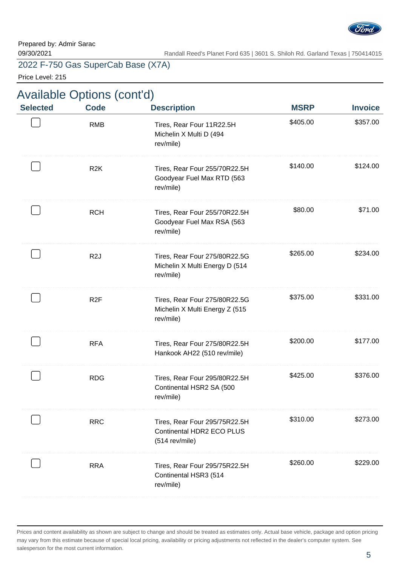

Price Level: 215

|  |  |  | <b>Available Options (cont'd)</b> |  |
|--|--|--|-----------------------------------|--|
|  |  |  |                                   |  |

| <b>Selected</b> | <b>Code</b>      | <b>Description</b>                                                           | <b>MSRP</b> | <b>Invoice</b> |
|-----------------|------------------|------------------------------------------------------------------------------|-------------|----------------|
|                 | <b>RMB</b>       | Tires, Rear Four 11R22.5H<br>Michelin X Multi D (494<br>rev/mile)            | \$405.00    | \$357.00       |
|                 | R <sub>2</sub> K | Tires, Rear Four 255/70R22.5H<br>Goodyear Fuel Max RTD (563<br>rev/mile)     | \$140.00    | \$124.00       |
|                 | <b>RCH</b>       | Tires, Rear Four 255/70R22.5H<br>Goodyear Fuel Max RSA (563<br>rev/mile)     | \$80.00     | \$71.00        |
|                 | R <sub>2</sub> J | Tires, Rear Four 275/80R22.5G<br>Michelin X Multi Energy D (514<br>rev/mile) | \$265.00    | \$234.00       |
|                 | R <sub>2</sub> F | Tires, Rear Four 275/80R22.5G<br>Michelin X Multi Energy Z (515<br>rev/mile) | \$375.00    | \$331.00       |
|                 | <b>RFA</b>       | Tires, Rear Four 275/80R22.5H<br>Hankook AH22 (510 rev/mile)                 | \$200.00    | \$177.00       |
|                 | <b>RDG</b>       | Tires, Rear Four 295/80R22.5H<br>Continental HSR2 SA (500<br>rev/mile)       | \$425.00    | \$376.00       |
|                 | <b>RRC</b>       | Tires, Rear Four 295/75R22.5H<br>Continental HDR2 ECO PLUS<br>(514 rev/mile) | \$310.00    | \$273.00       |
|                 | <b>RRA</b>       | Tires, Rear Four 295/75R22.5H<br>Continental HSR3 (514<br>rev/mile)          | \$260.00    | \$229.00       |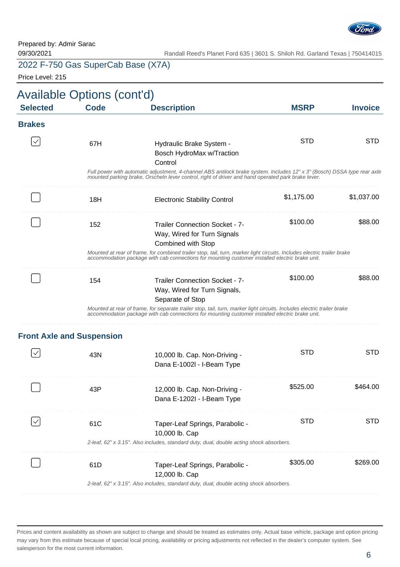

Price Level: 215

| <b>Selected</b> | <b>Code</b>                      | <b>Description</b>                                                                                                                                                                                                             | <b>MSRP</b> | <b>Invoice</b> |
|-----------------|----------------------------------|--------------------------------------------------------------------------------------------------------------------------------------------------------------------------------------------------------------------------------|-------------|----------------|
| <b>Brakes</b>   |                                  |                                                                                                                                                                                                                                |             |                |
|                 | 67H                              | Hydraulic Brake System -<br>Bosch HydroMax w/Traction<br>Control                                                                                                                                                               | <b>STD</b>  | <b>STD</b>     |
|                 |                                  | Full power with automatic adjustment, 4-channel ABS antilock brake system. Includes 12" x 3" (Bosch) DSSA type rear axle<br>mounted parking brake, Orscheln lever control, right of driver and hand operated park brake lever. |             |                |
|                 | 18H                              | <b>Electronic Stability Control</b>                                                                                                                                                                                            | \$1,175.00  | \$1,037.00     |
|                 | 152                              | <b>Trailer Connection Socket - 7-</b><br>Way, Wired for Turn Signals<br><b>Combined with Stop</b>                                                                                                                              | \$100.00    | \$88.00        |
|                 |                                  | Mounted at rear of frame, for combined trailer stop, tail, turn, marker light circuits. Includes electric trailer brake<br>accommodation package with cab connections for mounting customer installed electric brake unit.     |             |                |
|                 | 154                              | <b>Trailer Connection Socket - 7-</b><br>Way, Wired for Turn Signals,<br>Separate of Stop                                                                                                                                      | \$100.00    | \$88.00        |
|                 |                                  | Mounted at rear of frame, for separate trailer stop, tail, turn, marker light circuits. Includes electric trailer brake<br>accommodation package with cab connections for mounting customer installed electric brake unit.     |             |                |
|                 | <b>Front Axle and Suspension</b> |                                                                                                                                                                                                                                |             |                |
|                 | 43N                              | 10,000 lb. Cap. Non-Driving -<br>Dana E-1002l - I-Beam Type                                                                                                                                                                    | <b>STD</b>  | <b>STD</b>     |
|                 | 43P                              | 12,000 lb. Cap. Non-Driving -<br>Dana E-1202I - I-Beam Type                                                                                                                                                                    | \$525.00    | \$464.00       |
|                 | 61C                              | Taper-Leaf Springs, Parabolic -<br>10,000 lb. Cap                                                                                                                                                                              | <b>STD</b>  | <b>STD</b>     |
|                 |                                  | 2-leaf, 62" x 3.15". Also includes, standard duty, dual, double acting shock absorbers.                                                                                                                                        |             |                |
|                 | 61D                              | Taper-Leaf Springs, Parabolic -<br>12,000 lb. Cap                                                                                                                                                                              | \$305.00    | \$269.00       |
|                 |                                  | 2-leaf, 62" x 3.15". Also includes, standard duty, dual, double acting shock absorbers.                                                                                                                                        |             |                |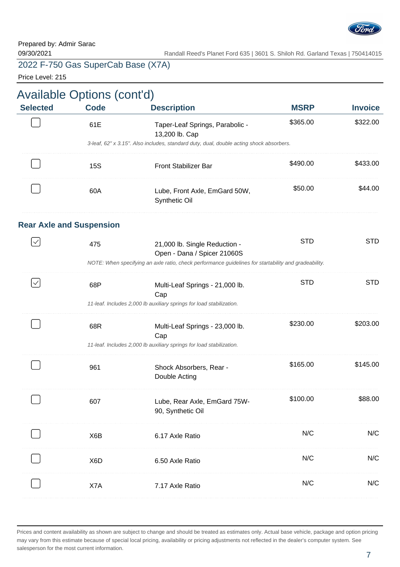

Price Level: 215

|                 | <b>Available Options (cont'd)</b> |                                                                                                      |             |                |  |
|-----------------|-----------------------------------|------------------------------------------------------------------------------------------------------|-------------|----------------|--|
| <b>Selected</b> | <b>Code</b>                       | <b>Description</b>                                                                                   | <b>MSRP</b> | <b>Invoice</b> |  |
|                 | 61E                               | Taper-Leaf Springs, Parabolic -<br>13,200 lb. Cap                                                    | \$365.00    | \$322.00       |  |
|                 |                                   | 3-leaf, 62" x 3.15". Also includes, standard duty, dual, double acting shock absorbers.              |             |                |  |
|                 | <b>15S</b>                        | <b>Front Stabilizer Bar</b>                                                                          | \$490.00    | \$433.00       |  |
|                 | 60A                               | Lube, Front Axle, EmGard 50W,<br>Synthetic Oil                                                       | \$50.00     | \$44.00        |  |
|                 | <b>Rear Axle and Suspension</b>   |                                                                                                      |             |                |  |
| $\checkmark$    | 475                               | 21,000 lb. Single Reduction -<br>Open - Dana / Spicer 21060S                                         | <b>STD</b>  | <b>STD</b>     |  |
|                 |                                   | NOTE: When specifying an axle ratio, check performance guidelines for startability and gradeability. |             |                |  |
| $\checkmark$    | 68P                               | Multi-Leaf Springs - 21,000 lb.<br>Cap                                                               | <b>STD</b>  | <b>STD</b>     |  |
|                 |                                   | 11-leaf. Includes 2,000 lb auxiliary springs for load stabilization.                                 |             |                |  |
|                 | 68R                               | Multi-Leaf Springs - 23,000 lb.<br>Cap                                                               | \$230.00    | \$203.00       |  |
|                 |                                   | 11-leaf. Includes 2,000 lb auxiliary springs for load stabilization.                                 |             |                |  |
|                 | 961                               | Shock Absorbers, Rear -<br>Double Acting                                                             | \$165.00    | \$145.00       |  |
|                 | 607                               | Lube, Rear Axle, EmGard 75W-<br>90, Synthetic Oil                                                    | \$100.00    | \$88.00        |  |
|                 | X6B                               | 6.17 Axle Ratio                                                                                      | N/C         | N/C            |  |
|                 | X <sub>6</sub> D                  | 6.50 Axle Ratio                                                                                      | N/C         | N/C            |  |
|                 | X7A                               | 7.17 Axle Ratio                                                                                      | N/C         | N/C            |  |
|                 |                                   |                                                                                                      |             |                |  |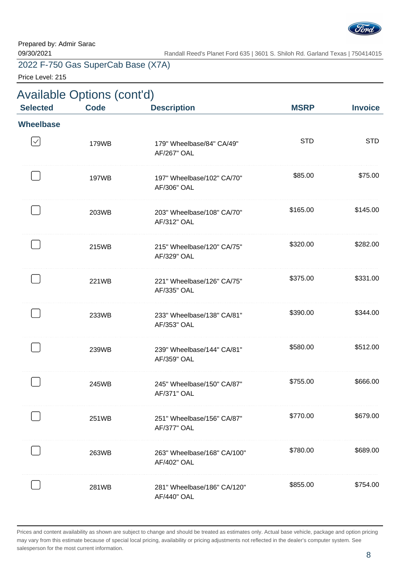

Price Level: 215

| <b>Selected</b>  | <b>Available Options (cont'd)</b><br><b>Code</b> | <b>Description</b>                                | <b>MSRP</b> | <b>Invoice</b> |
|------------------|--------------------------------------------------|---------------------------------------------------|-------------|----------------|
| <b>Wheelbase</b> |                                                  |                                                   |             |                |
| $\checkmark$     | 179WB                                            | 179" Wheelbase/84" CA/49"<br><b>AF/267" OAL</b>   | <b>STD</b>  | <b>STD</b>     |
|                  | 197WB                                            | 197" Wheelbase/102" CA/70"<br>AF/306" OAL         | \$85.00     | \$75.00        |
|                  | 203WB                                            | 203" Wheelbase/108" CA/70"<br>AF/312" OAL         | \$165.00    | \$145.00       |
|                  | 215WB                                            | 215" Wheelbase/120" CA/75"<br>AF/329" OAL         | \$320.00    | \$282.00       |
|                  | 221WB                                            | 221" Wheelbase/126" CA/75"<br>AF/335" OAL         | \$375.00    | \$331.00       |
|                  | 233WB                                            | 233" Wheelbase/138" CA/81"<br>AF/353" OAL         | \$390.00    | \$344.00       |
|                  | 239WB                                            | 239" Wheelbase/144" CA/81"<br>AF/359" OAL         | \$580.00    | \$512.00       |
|                  | 245WB                                            | 245" Wheelbase/150" CA/87"<br><b>AF/371" OAL</b>  | \$755.00    | \$666.00       |
|                  | 251WB                                            | 251" Wheelbase/156" CA/87"<br><b>AF/377" OAL</b>  | \$770.00    | \$679.00       |
|                  | 263WB                                            | 263" Wheelbase/168" CA/100"<br><b>AF/402" OAL</b> | \$780.00    | \$689.00       |
|                  | 281WB                                            | 281" Wheelbase/186" CA/120"<br><b>AF/440" OAL</b> | \$855.00    | \$754.00       |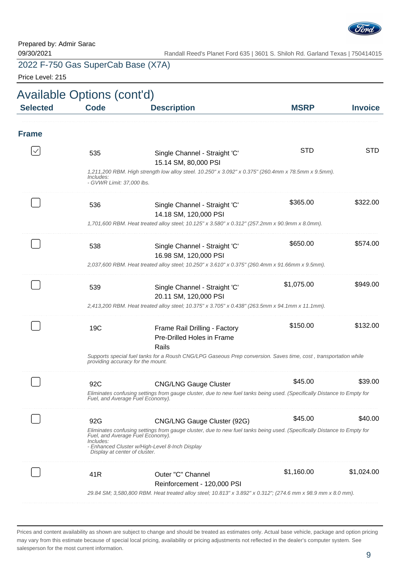

Price Level: 215

|                 | Available Options (cont'd)                           |                                                                                                                                                                                                                                              |             |                |
|-----------------|------------------------------------------------------|----------------------------------------------------------------------------------------------------------------------------------------------------------------------------------------------------------------------------------------------|-------------|----------------|
| <b>Selected</b> | <b>Code</b>                                          | <b>Description</b>                                                                                                                                                                                                                           | <b>MSRP</b> | <b>Invoice</b> |
| <b>Frame</b>    |                                                      |                                                                                                                                                                                                                                              |             |                |
|                 | 535<br><i>Includes:</i><br>- GVWR Limit: 37,000 lbs. | Single Channel - Straight 'C'<br>15.14 SM, 80,000 PSI<br>1,211,200 RBM. High strength low alloy steel. 10.250" x 3.092" x 0.375" (260.4mm x 78.5mm x 9.5mm).                                                                                 | <b>STD</b>  | <b>STD</b>     |
|                 | 536                                                  | Single Channel - Straight 'C'<br>14.18 SM, 120,000 PSI<br>1,701,600 RBM. Heat treated alloy steel; 10.125" x 3.580" x 0.312" (257.2mm x 90.9mm x 8.0mm).                                                                                     | \$365.00    | \$322.00       |
|                 | 538                                                  | Single Channel - Straight 'C'<br>16.98 SM, 120,000 PSI<br>2,037,600 RBM. Heat treated alloy steel; 10.250" x 3.610" x 0.375" (260.4mm x 91.66mm x 9.5mm).                                                                                    | \$650.00    | \$574.00       |
|                 | 539                                                  | Single Channel - Straight 'C'<br>20.11 SM, 120,000 PSI<br>2,413,200 RBM. Heat treated alloy steel; 10.375" x 3.705" x 0.438" (263.5mm x 94.1mm x 11.1mm).                                                                                    | \$1,075.00  | \$949.00       |
|                 | 19C                                                  | Frame Rail Drilling - Factory<br>Pre-Drilled Holes in Frame<br>Rails<br>Supports special fuel tanks for a Roush CNG/LPG Gaseous Prep conversion. Saves time, cost, transportation while                                                      | \$150.00    | \$132.00       |
|                 | providing accuracy for the mount.                    |                                                                                                                                                                                                                                              |             |                |
|                 | 92C                                                  | <b>CNG/LNG Gauge Cluster</b><br>Eliminates confusing settings from gauge cluster, due to new fuel tanks being used. (Specifically Distance to Empty for<br>Fuel, and Average Fuel Economy).                                                  | \$45.00     | \$39.00        |
|                 | 92G<br>Includes:<br>Display at center of cluster.    | CNG/LNG Gauge Cluster (92G)<br>Eliminates confusing settings from gauge cluster, due to new fuel tanks being used. (Specifically Distance to Empty for<br>Fuel, and Average Fuel Economy).<br>- Enhanced Cluster w/High-Level 8-Inch Display | \$45.00     | \$40.00        |
|                 | 41R                                                  | Outer "C" Channel<br>Reinforcement - 120,000 PSI<br>29.84 SM; 3,580,800 RBM. Heat treated alloy steel; 10.813" x 3.892" x 0.312"; (274.6 mm x 98.9 mm x 8.0 mm).                                                                             | \$1,160.00  | \$1,024.00     |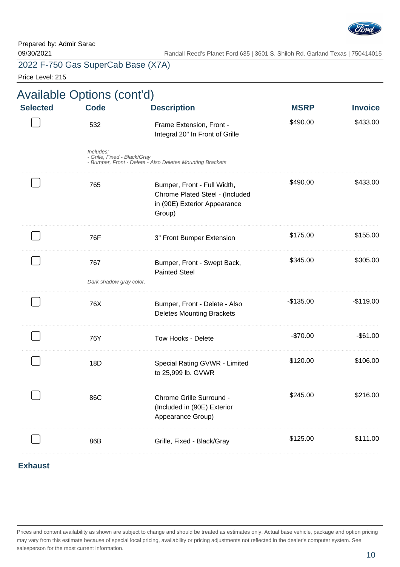

Price Level: 215

| Price Level: 215 |                                                  |                                                                                                          |             |                |
|------------------|--------------------------------------------------|----------------------------------------------------------------------------------------------------------|-------------|----------------|
| <b>Selected</b>  | <b>Available Options (cont'd)</b><br><b>Code</b> | <b>Description</b>                                                                                       | <b>MSRP</b> | <b>Invoice</b> |
|                  | 532                                              | Frame Extension, Front -<br>Integral 20" In Front of Grille                                              | \$490.00    | \$433.00       |
|                  | Includes:<br>- Grille, Fixed - Black/Gray        | - Bumper, Front - Delete - Also Deletes Mounting Brackets                                                |             |                |
|                  | 765                                              | Bumper, Front - Full Width,<br>Chrome Plated Steel - (Included<br>in (90E) Exterior Appearance<br>Group) | \$490.00    | \$433.00       |
|                  | 76F                                              | 3" Front Bumper Extension                                                                                | \$175.00    | \$155.00       |
|                  | 767<br>Dark shadow gray color.                   | Bumper, Front - Swept Back,<br><b>Painted Steel</b>                                                      | \$345.00    | \$305.00       |
|                  | 76X                                              | Bumper, Front - Delete - Also<br><b>Deletes Mounting Brackets</b>                                        | $-$135.00$  | $-$119.00$     |
|                  | 76Y                                              | Tow Hooks - Delete                                                                                       | -\$70.00    | $-$ \$61.00    |
|                  | 18D                                              | Special Rating GVWR - Limited<br>to 25,999 lb. GVWR                                                      | \$120.00    | \$106.00       |
|                  | 86C                                              | Chrome Grille Surround -<br>(Included in (90E) Exterior<br>Appearance Group)                             | \$245.00    | \$216.00       |
|                  | 86B                                              | Grille, Fixed - Black/Gray                                                                               | \$125.00    | \$111.00       |
|                  |                                                  |                                                                                                          |             |                |

#### **Exhaust**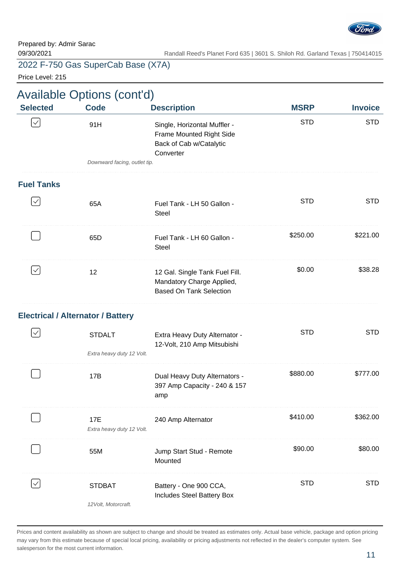

Price Level: 215

| <b>Selected</b>   | <b>Available Options (cont'd)</b>        |                                                                                                  |             |                |
|-------------------|------------------------------------------|--------------------------------------------------------------------------------------------------|-------------|----------------|
|                   | <b>Code</b>                              | <b>Description</b>                                                                               | <b>MSRP</b> | <b>Invoice</b> |
| $\checkmark$      | 91H                                      | Single, Horizontal Muffler -<br>Frame Mounted Right Side<br>Back of Cab w/Catalytic<br>Converter | <b>STD</b>  | <b>STD</b>     |
|                   | Downward facing, outlet tip.             |                                                                                                  |             |                |
| <b>Fuel Tanks</b> |                                          |                                                                                                  |             |                |
| $\checkmark$      | 65A                                      | Fuel Tank - LH 50 Gallon -<br><b>Steel</b>                                                       | <b>STD</b>  | <b>STD</b>     |
|                   | 65D                                      | Fuel Tank - LH 60 Gallon -<br><b>Steel</b>                                                       | \$250.00    | \$221.00       |
| $\checkmark$      | 12                                       | 12 Gal. Single Tank Fuel Fill.<br>Mandatory Charge Applied,<br><b>Based On Tank Selection</b>    | \$0.00      | \$38.28        |
|                   | <b>Electrical / Alternator / Battery</b> |                                                                                                  |             |                |
| $\checkmark$      | <b>STDALT</b>                            | Extra Heavy Duty Alternator -<br>12-Volt, 210 Amp Mitsubishi                                     | <b>STD</b>  | <b>STD</b>     |
|                   | Extra heavy duty 12 Volt.                |                                                                                                  |             |                |
|                   | 17B                                      | Dual Heavy Duty Alternators -<br>397 Amp Capacity - 240 & 157<br>amp                             | \$880.00    | \$777.00       |
|                   | 17E<br>Extra heavy duty 12 Volt.         | 240 Amp Alternator                                                                               | \$410.00    | \$362.00       |
|                   | 55M                                      | Jump Start Stud - Remote<br>Mounted                                                              | \$90.00     | \$80.00        |
|                   | <b>STDBAT</b><br>$121/14$ Motorore       | Battery - One 900 CCA,<br>Includes Steel Battery Box                                             | <b>STD</b>  | <b>STD</b>     |

12Volt, Motorcraft.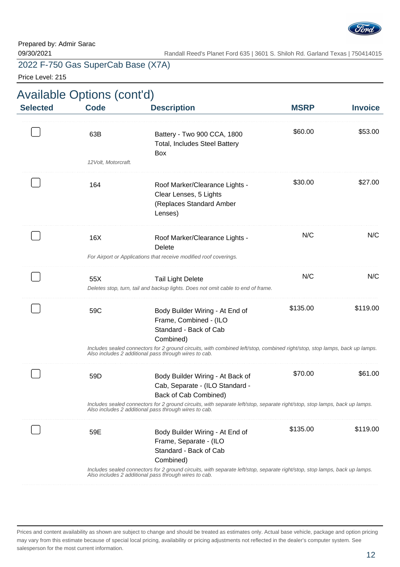

Price Level: 215

| <b>Available Options (cont'd)</b> |      |      |
|-----------------------------------|------|------|
| <b>Selected</b>                   | Code | Desc |

| <b>MSRP</b> | <b>Description</b>                                                                              | <b>Code</b>                                            | <b>Selected</b>                                                                                                                                                                                                                                                                                                                                                                                                                                                                                                                                                                                                                                                                                                                                    |
|-------------|-------------------------------------------------------------------------------------------------|--------------------------------------------------------|----------------------------------------------------------------------------------------------------------------------------------------------------------------------------------------------------------------------------------------------------------------------------------------------------------------------------------------------------------------------------------------------------------------------------------------------------------------------------------------------------------------------------------------------------------------------------------------------------------------------------------------------------------------------------------------------------------------------------------------------------|
| \$60.00     | Battery - Two 900 CCA, 1800<br><b>Total, Includes Steel Battery</b>                             | 63B                                                    |                                                                                                                                                                                                                                                                                                                                                                                                                                                                                                                                                                                                                                                                                                                                                    |
|             |                                                                                                 |                                                        |                                                                                                                                                                                                                                                                                                                                                                                                                                                                                                                                                                                                                                                                                                                                                    |
| \$30.00     | Roof Marker/Clearance Lights -<br>Clear Lenses, 5 Lights<br>(Replaces Standard Amber<br>Lenses) | 164                                                    |                                                                                                                                                                                                                                                                                                                                                                                                                                                                                                                                                                                                                                                                                                                                                    |
| N/C         | Roof Marker/Clearance Lights -<br>Delete                                                        | 16X                                                    |                                                                                                                                                                                                                                                                                                                                                                                                                                                                                                                                                                                                                                                                                                                                                    |
|             |                                                                                                 |                                                        |                                                                                                                                                                                                                                                                                                                                                                                                                                                                                                                                                                                                                                                                                                                                                    |
| N/C         | <b>Tail Light Delete</b>                                                                        | 55X                                                    |                                                                                                                                                                                                                                                                                                                                                                                                                                                                                                                                                                                                                                                                                                                                                    |
|             |                                                                                                 |                                                        |                                                                                                                                                                                                                                                                                                                                                                                                                                                                                                                                                                                                                                                                                                                                                    |
| \$135.00    | Body Builder Wiring - At End of<br>Frame, Combined - (ILO<br>Standard - Back of Cab             | 59C                                                    |                                                                                                                                                                                                                                                                                                                                                                                                                                                                                                                                                                                                                                                                                                                                                    |
|             |                                                                                                 |                                                        |                                                                                                                                                                                                                                                                                                                                                                                                                                                                                                                                                                                                                                                                                                                                                    |
| \$70.00     | Body Builder Wiring - At Back of<br>Cab, Separate - (ILO Standard -                             | 59D                                                    |                                                                                                                                                                                                                                                                                                                                                                                                                                                                                                                                                                                                                                                                                                                                                    |
|             |                                                                                                 |                                                        |                                                                                                                                                                                                                                                                                                                                                                                                                                                                                                                                                                                                                                                                                                                                                    |
| \$135.00    | Body Builder Wiring - At End of<br>Frame, Separate - (ILO<br>Standard - Back of Cab             | 59E                                                    |                                                                                                                                                                                                                                                                                                                                                                                                                                                                                                                                                                                                                                                                                                                                                    |
|             |                                                                                                 |                                                        |                                                                                                                                                                                                                                                                                                                                                                                                                                                                                                                                                                                                                                                                                                                                                    |
|             |                                                                                                 | Box<br>Combined)<br>Back of Cab Combined)<br>Combined) | 12 Volt, Motorcraft.<br>For Airport or Applications that receive modified roof coverings.<br>Deletes stop, turn, tail and backup lights. Does not omit cable to end of frame.<br>Includes sealed connectors for 2 ground circuits, with combined left/stop, combined right/stop, stop lamps, back up lamps.<br>Also includes 2 additional pass through wires to cab.<br>Includes sealed connectors for 2 ground circuits, with separate left/stop, separate right/stop, stop lamps, back up lamps.<br>Also includes 2 additional pass through wires to cab.<br>Includes sealed connectors for 2 ground circuits, with separate left/stop, separate right/stop, stop lamps, back up lamps.<br>Also includes 2 additional pass through wires to cab. |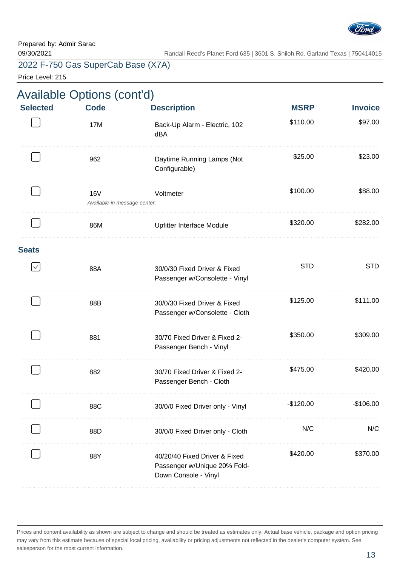

Price Level: 215

| <b>Available Options (cont'd)</b> |                                            |                                                                                       |             |                |
|-----------------------------------|--------------------------------------------|---------------------------------------------------------------------------------------|-------------|----------------|
| <b>Selected</b>                   | <b>Code</b>                                | <b>Description</b>                                                                    | <b>MSRP</b> | <b>Invoice</b> |
|                                   | 17M                                        | Back-Up Alarm - Electric, 102<br>dBA                                                  | \$110.00    | \$97.00        |
|                                   | 962                                        | Daytime Running Lamps (Not<br>Configurable)                                           | \$25.00     | \$23.00        |
|                                   | <b>16V</b><br>Available in message center. | Voltmeter                                                                             | \$100.00    | \$88.00        |
|                                   | 86M                                        | Upfitter Interface Module                                                             | \$320.00    | \$282.00       |
| <b>Seats</b>                      |                                            |                                                                                       |             |                |
| $\checkmark$                      | 88A                                        | 30/0/30 Fixed Driver & Fixed<br>Passenger w/Consolette - Vinyl                        | <b>STD</b>  | <b>STD</b>     |
|                                   | 88B                                        | 30/0/30 Fixed Driver & Fixed<br>Passenger w/Consolette - Cloth                        | \$125.00    | \$111.00       |
|                                   | 881                                        | 30/70 Fixed Driver & Fixed 2-<br>Passenger Bench - Vinyl                              | \$350.00    | \$309.00       |
|                                   | 882                                        | 30/70 Fixed Driver & Fixed 2-<br>Passenger Bench - Cloth                              | \$475.00    | \$420.00       |
|                                   | 88C                                        | 30/0/0 Fixed Driver only - Vinyl                                                      | $-$120.00$  | $-$106.00$     |
|                                   | 88D                                        | 30/0/0 Fixed Driver only - Cloth                                                      | N/C         | N/C            |
|                                   | 88Y                                        | 40/20/40 Fixed Driver & Fixed<br>Passenger w/Unique 20% Fold-<br>Down Console - Vinyl | \$420.00    | \$370.00       |
|                                   |                                            |                                                                                       |             |                |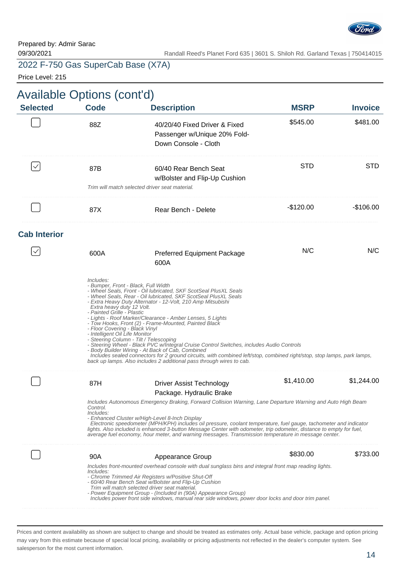

Price Level: 215

|                     | <b>Available Options (cont'd)</b>                                                                                                                                               |                                                                                                                                                                                                                                                                                                                                                                                                                                                                                                                                                                                                                                                                                                                       |             |                |
|---------------------|---------------------------------------------------------------------------------------------------------------------------------------------------------------------------------|-----------------------------------------------------------------------------------------------------------------------------------------------------------------------------------------------------------------------------------------------------------------------------------------------------------------------------------------------------------------------------------------------------------------------------------------------------------------------------------------------------------------------------------------------------------------------------------------------------------------------------------------------------------------------------------------------------------------------|-------------|----------------|
| <b>Selected</b>     | <b>Code</b>                                                                                                                                                                     | <b>Description</b>                                                                                                                                                                                                                                                                                                                                                                                                                                                                                                                                                                                                                                                                                                    | <b>MSRP</b> | <b>Invoice</b> |
|                     | 88Z                                                                                                                                                                             | 40/20/40 Fixed Driver & Fixed<br>Passenger w/Unique 20% Fold-<br>Down Console - Cloth                                                                                                                                                                                                                                                                                                                                                                                                                                                                                                                                                                                                                                 | \$545.00    | \$481.00       |
|                     | 87B                                                                                                                                                                             | 60/40 Rear Bench Seat<br>w/Bolster and Flip-Up Cushion                                                                                                                                                                                                                                                                                                                                                                                                                                                                                                                                                                                                                                                                | STD         | <b>STD</b>     |
|                     |                                                                                                                                                                                 | Trim will match selected driver seat material.                                                                                                                                                                                                                                                                                                                                                                                                                                                                                                                                                                                                                                                                        |             |                |
|                     | 87X                                                                                                                                                                             | Rear Bench - Delete                                                                                                                                                                                                                                                                                                                                                                                                                                                                                                                                                                                                                                                                                                   | $-$120.00$  | -\$106.00      |
| <b>Cab Interior</b> |                                                                                                                                                                                 |                                                                                                                                                                                                                                                                                                                                                                                                                                                                                                                                                                                                                                                                                                                       |             |                |
|                     | 600A                                                                                                                                                                            | <b>Preferred Equipment Package</b><br>600A                                                                                                                                                                                                                                                                                                                                                                                                                                                                                                                                                                                                                                                                            | N/C         | N/C            |
|                     | Includes:<br>- Bumper, Front - Black, Full Width<br>Extra heavy duty 12 Volt.<br>- Painted Grille - Plastic<br>- Floor Covering - Black Vinyl<br>- Intelligent Oil Life Monitor | - Wheel Seals, Front - Oil lubricated, SKF ScotSeal PlusXL Seals<br>- Wheel Seals, Rear - Oil lubricated, SKF ScotSeal PlusXL Seals<br>- Extra Heavy Duty Alternator - 12-Volt, 210 Amp Mitsubishi<br>- Lights - Roof Marker/Clearance - Amber Lenses, 5 Lights<br>- Tow Hooks, Front (2) - Frame-Mounted, Painted Black<br>- Steering Column - Tilt / Telescoping<br>- Steering Wheel - Black PVC w/Integral Cruise Control Switches, includes Audio Controls<br>- Body Builder Wiring - At Back of Cab, Combined<br>Includes sealed connectors for 2 ground circuits, with combined left/stop, combined right/stop, stop lamps, park lamps,<br>back up lamps. Also includes 2 additional pass through wires to cab. |             |                |
|                     | 87H                                                                                                                                                                             | <b>Driver Assist Technology</b>                                                                                                                                                                                                                                                                                                                                                                                                                                                                                                                                                                                                                                                                                       | \$1,410.00  | \$1,244.00     |
|                     |                                                                                                                                                                                 | Package. Hydraulic Brake                                                                                                                                                                                                                                                                                                                                                                                                                                                                                                                                                                                                                                                                                              |             |                |
|                     | Control.<br>Includes:                                                                                                                                                           | Includes Autonomous Emergency Braking, Forward Collision Warning, Lane Departure Warning and Auto High Beam<br>- Enhanced Cluster w/High-Level 8-Inch Display<br>Electronic speedometer (MPH/KPH) includes oil pressure, coolant temperature, fuel gauge, tachometer and indicator<br>lights. Also included is enhanced 3-button Message Center with odometer, trip odometer, distance to empty for fuel,<br>average fuel economy, hour meter, and warning messages. Transmission temperature in message center.                                                                                                                                                                                                      |             |                |
|                     | 90A                                                                                                                                                                             | Appearance Group                                                                                                                                                                                                                                                                                                                                                                                                                                                                                                                                                                                                                                                                                                      | \$830.00    | \$733.00       |
|                     | Includes:                                                                                                                                                                       | Includes front-mounted overhead console with dual sunglass bins and integral front map reading lights.<br>- Chrome Trimmed Air Registers w/Positive Shut-Off<br>- 60/40 Rear Bench Seat w/Bolster and Flip-Up Cushion<br>Trim will match selected driver seat material.<br>- Power Equipment Group - (Included in (90A) Appearance Group)<br>Includes power front side windows, manual rear side windows, power door locks and door trim panel.                                                                                                                                                                                                                                                                       |             |                |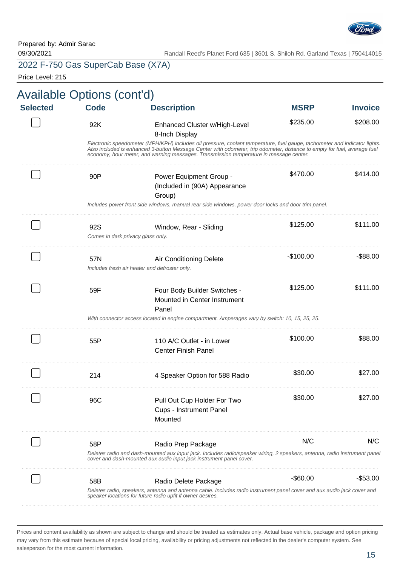

Price Level: 215

| <b>Selected</b> | Available Options (cont'd)<br><b>Code</b> | <b>Description</b>                                                                                                                                                                                                                                                                                                                              | <b>MSRP</b> | <b>Invoice</b> |
|-----------------|-------------------------------------------|-------------------------------------------------------------------------------------------------------------------------------------------------------------------------------------------------------------------------------------------------------------------------------------------------------------------------------------------------|-------------|----------------|
|                 |                                           |                                                                                                                                                                                                                                                                                                                                                 |             |                |
|                 | 92K                                       | Enhanced Cluster w/High-Level<br>8-Inch Display                                                                                                                                                                                                                                                                                                 | \$235.00    | \$208.00       |
|                 |                                           | Electronic speedometer (MPH/KPH) includes oil pressure, coolant temperature, fuel gauge, tachometer and indicator lights.<br>Also included is enhanced 3-button Message Center with odometer, trip odometer, distance to empty for fuel, average fuel<br>economy, hour meter, and warning messages. Transmission temperature in message center. |             |                |
|                 | 90P                                       | Power Equipment Group -<br>(Included in (90A) Appearance<br>Group)                                                                                                                                                                                                                                                                              | \$470.00    | \$414.00       |
|                 |                                           | Includes power front side windows, manual rear side windows, power door locks and door trim panel.                                                                                                                                                                                                                                              |             |                |
|                 | 92S<br>Comes in dark privacy glass only.  | Window, Rear - Sliding                                                                                                                                                                                                                                                                                                                          | \$125.00    | \$111.00       |
|                 | 57N                                       | Air Conditioning Delete<br>Includes fresh air heater and defroster only.                                                                                                                                                                                                                                                                        | $-$100.00$  | $-$ \$88.00    |
|                 | 59F                                       | Four Body Builder Switches -<br>Mounted in Center Instrument<br>Panel<br>With connector access located in engine compartment. Amperages vary by switch: 10, 15, 25, 25.                                                                                                                                                                         | \$125.00    | \$111.00       |
|                 |                                           |                                                                                                                                                                                                                                                                                                                                                 |             |                |
|                 | 55P                                       | 110 A/C Outlet - in Lower<br><b>Center Finish Panel</b>                                                                                                                                                                                                                                                                                         | \$100.00    | \$88.00        |
|                 | 214                                       | 4 Speaker Option for 588 Radio                                                                                                                                                                                                                                                                                                                  | \$30.00     | \$27.00        |
|                 | 96C                                       | Pull Out Cup Holder For Two<br><b>Cups - Instrument Panel</b><br>Mounted                                                                                                                                                                                                                                                                        | \$30.00     | \$27.00        |
|                 | 58P                                       | Radio Prep Package                                                                                                                                                                                                                                                                                                                              | N/C         | N/C            |
|                 |                                           | Deletes radio and dash-mounted aux input jack. Includes radio/speaker wiring, 2 speakers, antenna, radio instrument panel<br>cover and dash-mounted aux audio input jack instrument panel cover.                                                                                                                                                |             |                |
|                 |                                           |                                                                                                                                                                                                                                                                                                                                                 |             |                |
|                 | 58B                                       | Radio Delete Package                                                                                                                                                                                                                                                                                                                            |             |                |
|                 |                                           | Deletes radio, speakers, antenna and antenna cable. Includes radio instrument panel cover and aux audio jack cover and<br>speaker locations for future radio upfit if owner desires.                                                                                                                                                            | -\$60.00    | $-$ \$53.00    |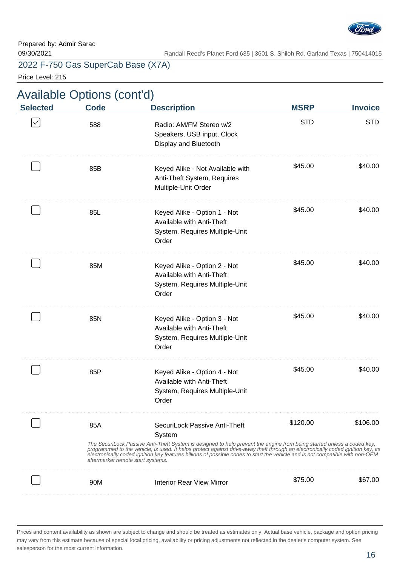

09/30/2021 Randall Reed's Planet Ford 635 | 3601 S. Shiloh Rd. Garland Texas | 750414015

# 2022 F-750 Gas SuperCab Base (X7A)

Price Level: 215

| <b>Invoice</b> | <b>MSRP</b> | <b>Description</b>                                                                                                                                                                                                                                                                                                                                                                                                                    | Available Options (cont'd)<br><b>Code</b> | <b>Selected</b> |
|----------------|-------------|---------------------------------------------------------------------------------------------------------------------------------------------------------------------------------------------------------------------------------------------------------------------------------------------------------------------------------------------------------------------------------------------------------------------------------------|-------------------------------------------|-----------------|
| <b>STD</b>     | <b>STD</b>  | Radio: AM/FM Stereo w/2<br>Speakers, USB input, Clock<br>Display and Bluetooth                                                                                                                                                                                                                                                                                                                                                        | 588                                       | $\checkmark$    |
| \$40.00        | \$45.00     | Keyed Alike - Not Available with<br>Anti-Theft System, Requires<br>Multiple-Unit Order                                                                                                                                                                                                                                                                                                                                                | 85B                                       |                 |
| \$40.00        | \$45.00     | Keyed Alike - Option 1 - Not<br>Available with Anti-Theft<br>System, Requires Multiple-Unit<br>Order                                                                                                                                                                                                                                                                                                                                  | 85L                                       |                 |
| \$40.00        | \$45.00     | Keyed Alike - Option 2 - Not<br>Available with Anti-Theft<br>System, Requires Multiple-Unit<br>Order                                                                                                                                                                                                                                                                                                                                  | 85M                                       |                 |
| \$40.00        | \$45.00     | Keyed Alike - Option 3 - Not<br>Available with Anti-Theft<br>System, Requires Multiple-Unit<br>Order                                                                                                                                                                                                                                                                                                                                  | 85N                                       |                 |
| \$40.00        | \$45.00     | Keyed Alike - Option 4 - Not<br>Available with Anti-Theft<br>System, Requires Multiple-Unit<br>Order                                                                                                                                                                                                                                                                                                                                  | 85P                                       |                 |
| \$106.00       | \$120.00    | SecuriLock Passive Anti-Theft<br>System<br>The SecuriLock Passive Anti-Theft System is designed to help prevent the engine from being started unless a coded key,<br>programmed to the vehicle, is used. It helps protect against drive-away theft through an electronically coded ignition key, its<br>electronically coded ignition key features billions of possible codes to start the vehicle and is not compatible with non-OEM | 85A<br>aftermarket remote start systems.  |                 |
| \$67.00        | \$75.00     | <b>Interior Rear View Mirror</b>                                                                                                                                                                                                                                                                                                                                                                                                      | 90M                                       |                 |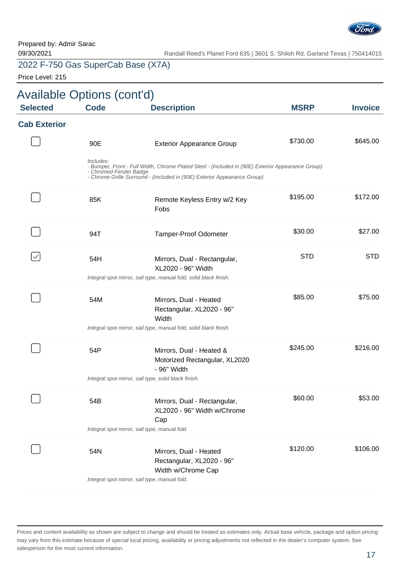

Price Level: 215

| <b>Available Options (cont'd)</b> |                                     |                                                                                                                                                                               |             |                |
|-----------------------------------|-------------------------------------|-------------------------------------------------------------------------------------------------------------------------------------------------------------------------------|-------------|----------------|
| <b>Selected</b>                   | <b>Code</b>                         | <b>Description</b>                                                                                                                                                            | <b>MSRP</b> | <b>Invoice</b> |
| <b>Cab Exterior</b>               |                                     |                                                                                                                                                                               |             |                |
|                                   | 90E                                 | <b>Exterior Appearance Group</b>                                                                                                                                              | \$730.00    | \$645.00       |
|                                   | Includes:<br>- Chromed Fender Badge | - Bumper, Front - Full Width, Chrome Plated Steel - (Included in (90E) Exterior Appearance Group)<br>- Chrome Grille Surround - (Included in (90E) Exterior Appearance Group) |             |                |
|                                   | 85K                                 | Remote Keyless Entry w/2 Key<br>Fobs                                                                                                                                          | \$195.00    | \$172.00       |
|                                   | 94T                                 | <b>Tamper-Proof Odometer</b>                                                                                                                                                  | \$30.00     | \$27.00        |
|                                   | 54H                                 | Mirrors, Dual - Rectangular,<br>XL2020 - 96" Width                                                                                                                            | <b>STD</b>  | <b>STD</b>     |
|                                   |                                     | Integral spot mirror, sail type, manual fold, solid black finish.                                                                                                             |             |                |
|                                   | 54M                                 | Mirrors, Dual - Heated<br>Rectangular, XL2020 - 96"<br>Width                                                                                                                  | \$85.00     | \$75.00        |
|                                   |                                     | Integral spot mirror, sail type, manual fold, solid black finish.                                                                                                             |             |                |
|                                   | 54P                                 | Mirrors, Dual - Heated &<br>Motorized Rectangular, XL2020<br>- 96" Width                                                                                                      | \$245.00    | \$216.00       |
|                                   |                                     | Integral spot mirror, sail type, solid black finish.                                                                                                                          |             |                |
|                                   | 54B                                 | Mirrors, Dual - Rectangular,<br>XL2020 - 96" Width w/Chrome<br>Cap                                                                                                            | \$60.00     | \$53.00        |
|                                   |                                     | Integral spot mirror, sail type, manual fold.                                                                                                                                 |             |                |
|                                   | 54N                                 | Mirrors, Dual - Heated<br>Rectangular, XL2020 - 96"<br>Width w/Chrome Cap                                                                                                     | \$120.00    | \$106.00       |
|                                   |                                     | Integral spot mirror, sail type, manual fold.                                                                                                                                 |             |                |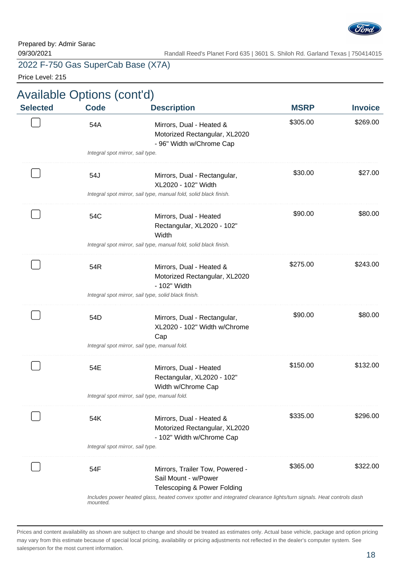

Price Level: 215

| <b>Selected</b> | <b>Code</b>                      | <b>Description</b>                                                                                                  | <b>MSRP</b> | <b>Invoice</b> |
|-----------------|----------------------------------|---------------------------------------------------------------------------------------------------------------------|-------------|----------------|
|                 | 54A                              | Mirrors, Dual - Heated &<br>Motorized Rectangular, XL2020<br>- 96" Width w/Chrome Cap                               | \$305.00    | \$269.00       |
|                 | Integral spot mirror, sail type. |                                                                                                                     |             |                |
|                 | 54J                              | Mirrors, Dual - Rectangular,<br>XL2020 - 102" Width                                                                 | \$30.00     | \$27.00        |
|                 |                                  | Integral spot mirror, sail type, manual fold, solid black finish.                                                   |             |                |
|                 | 54C                              | Mirrors, Dual - Heated<br>Rectangular, XL2020 - 102"<br>Width                                                       | \$90.00     | \$80.00        |
|                 |                                  | Integral spot mirror, sail type, manual fold, solid black finish.                                                   |             |                |
|                 | 54R                              | Mirrors, Dual - Heated &<br>Motorized Rectangular, XL2020<br>- 102" Width                                           | \$275.00    | \$243.00       |
|                 |                                  | Integral spot mirror, sail type, solid black finish.                                                                |             |                |
|                 | 54D                              | Mirrors, Dual - Rectangular,<br>XL2020 - 102" Width w/Chrome<br>Cap                                                 | \$90.00     | \$80.00        |
|                 |                                  | Integral spot mirror, sail type, manual fold.                                                                       |             |                |
|                 | 54E                              | Mirrors, Dual - Heated<br>Rectangular, XL2020 - 102"<br>Width w/Chrome Cap                                          | \$150.00    | \$132.00       |
|                 |                                  | Integral spot mirror, sail type, manual fold.                                                                       |             |                |
|                 | 54K                              | Mirrors, Dual - Heated &<br>Motorized Rectangular, XL2020<br>- 102" Width w/Chrome Cap                              | \$335.00    | \$296.00       |
|                 | Integral spot mirror, sail type. |                                                                                                                     |             |                |
|                 | 54F                              | Mirrors, Trailer Tow, Powered -<br>Sail Mount - w/Power<br>Telescoping & Power Folding                              | \$365.00    | \$322.00       |
|                 | mounted.                         | Includes power heated glass, heated convex spotter and integrated clearance lights/turn signals. Heat controls dash |             |                |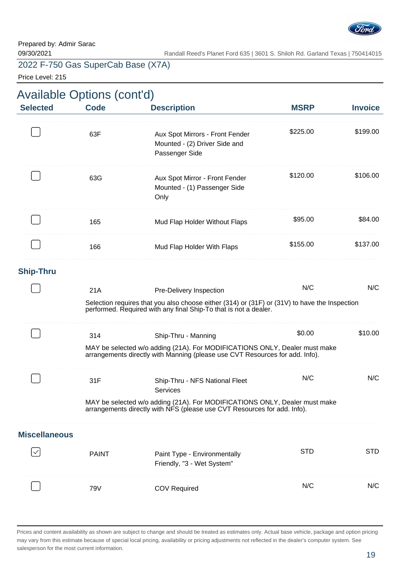

Price Level: 215

| <b>Available Options (cont'd)</b><br><b>Selected</b> | <b>Code</b>  | <b>Description</b>                                                                                                                                                | <b>MSRP</b> | <b>Invoice</b> |
|------------------------------------------------------|--------------|-------------------------------------------------------------------------------------------------------------------------------------------------------------------|-------------|----------------|
|                                                      |              |                                                                                                                                                                   |             |                |
|                                                      | 63F          | Aux Spot Mirrors - Front Fender<br>Mounted - (2) Driver Side and<br>Passenger Side                                                                                | \$225.00    | \$199.00       |
|                                                      | 63G          | Aux Spot Mirror - Front Fender<br>Mounted - (1) Passenger Side<br>Only                                                                                            | \$120.00    | \$106.00       |
|                                                      | 165          | Mud Flap Holder Without Flaps                                                                                                                                     | \$95.00     | \$84.00        |
|                                                      | 166          | Mud Flap Holder With Flaps                                                                                                                                        | \$155.00    | \$137.00       |
| <b>Ship-Thru</b>                                     |              |                                                                                                                                                                   |             |                |
|                                                      | 21A          | Pre-Delivery Inspection                                                                                                                                           | N/C         | N/C            |
|                                                      |              | Selection requires that you also choose either (314) or (31F) or (31V) to have the Inspection<br>performed. Required with any final Ship-To that is not a dealer. |             |                |
|                                                      | 314          | Ship-Thru - Manning                                                                                                                                               | \$0.00      | \$10.00        |
|                                                      |              | MAY be selected w/o adding (21A). For MODIFICATIONS ONLY, Dealer must make<br>arrangements directly with Manning (please use CVT Resources for add. Info).        |             |                |
|                                                      | 31F          | Ship-Thru - NFS National Fleet<br>Services                                                                                                                        | N/C         | N/C            |
|                                                      |              | MAY be selected w/o adding (21A). For MODIFICATIONS ONLY, Dealer must make arrangements directly with NFS (please use CVT Resources for add. Info).               |             |                |
| <b>Miscellaneous</b>                                 |              |                                                                                                                                                                   |             |                |
|                                                      | <b>PAINT</b> | Paint Type - Environmentally<br>Friendly, "3 - Wet System"                                                                                                        | <b>STD</b>  | <b>STD</b>     |
|                                                      | 79V          | <b>COV Required</b>                                                                                                                                               | N/C         | N/C            |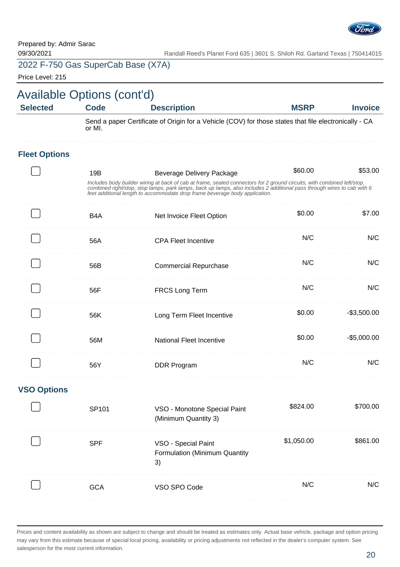

Price Level: 215

| <b>Available Options (cont'd)</b> |                                                                                                                 |                                                                                                                                                                                                                                                                                                                                                                       |             |                |
|-----------------------------------|-----------------------------------------------------------------------------------------------------------------|-----------------------------------------------------------------------------------------------------------------------------------------------------------------------------------------------------------------------------------------------------------------------------------------------------------------------------------------------------------------------|-------------|----------------|
| <b>Selected</b>                   | <b>Code</b>                                                                                                     | <b>Description</b>                                                                                                                                                                                                                                                                                                                                                    | <b>MSRP</b> | <b>Invoice</b> |
|                                   | Send a paper Certificate of Origin for a Vehicle (COV) for those states that file electronically - CA<br>or MI. |                                                                                                                                                                                                                                                                                                                                                                       |             |                |
| <b>Fleet Options</b>              |                                                                                                                 |                                                                                                                                                                                                                                                                                                                                                                       |             |                |
|                                   | 19B                                                                                                             | <b>Beverage Delivery Package</b><br>Includes body builder wiring at back of cab at frame, sealed connectors for 2 ground circuits, with combined left/stop,<br>combined right/stop, stop lamps, park lamps, back up lamps, also includes 2 additional pass through wires to cab with 6<br>feet additional length to accommodate drop frame beverage body application. | \$60.00     | \$53.00        |
|                                   | B <sub>4</sub> A                                                                                                | Net Invoice Fleet Option                                                                                                                                                                                                                                                                                                                                              | \$0.00      | \$7.00         |
|                                   | 56A                                                                                                             | <b>CPA Fleet Incentive</b>                                                                                                                                                                                                                                                                                                                                            | N/C         | N/C            |
|                                   | 56B                                                                                                             | <b>Commercial Repurchase</b>                                                                                                                                                                                                                                                                                                                                          | N/C         | N/C            |
|                                   | 56F                                                                                                             | FRCS Long Term                                                                                                                                                                                                                                                                                                                                                        | N/C         | N/C            |
|                                   | 56K                                                                                                             | Long Term Fleet Incentive                                                                                                                                                                                                                                                                                                                                             | \$0.00      | $-$3,500.00$   |
|                                   | 56M                                                                                                             | National Fleet Incentive                                                                                                                                                                                                                                                                                                                                              | \$0.00      | $-$5,000.00$   |
|                                   | 56Y                                                                                                             | <b>DDR Program</b>                                                                                                                                                                                                                                                                                                                                                    | N/C         | N/C            |
| <b>VSO Options</b>                |                                                                                                                 |                                                                                                                                                                                                                                                                                                                                                                       |             |                |
|                                   | SP101                                                                                                           | VSO - Monotone Special Paint<br>(Minimum Quantity 3)                                                                                                                                                                                                                                                                                                                  | \$824.00    | \$700.00       |
|                                   | <b>SPF</b>                                                                                                      | VSO - Special Paint<br>Formulation (Minimum Quantity<br>3)                                                                                                                                                                                                                                                                                                            | \$1,050.00  | \$861.00       |
|                                   | <b>GCA</b>                                                                                                      | VSO SPO Code                                                                                                                                                                                                                                                                                                                                                          | N/C         | N/C            |